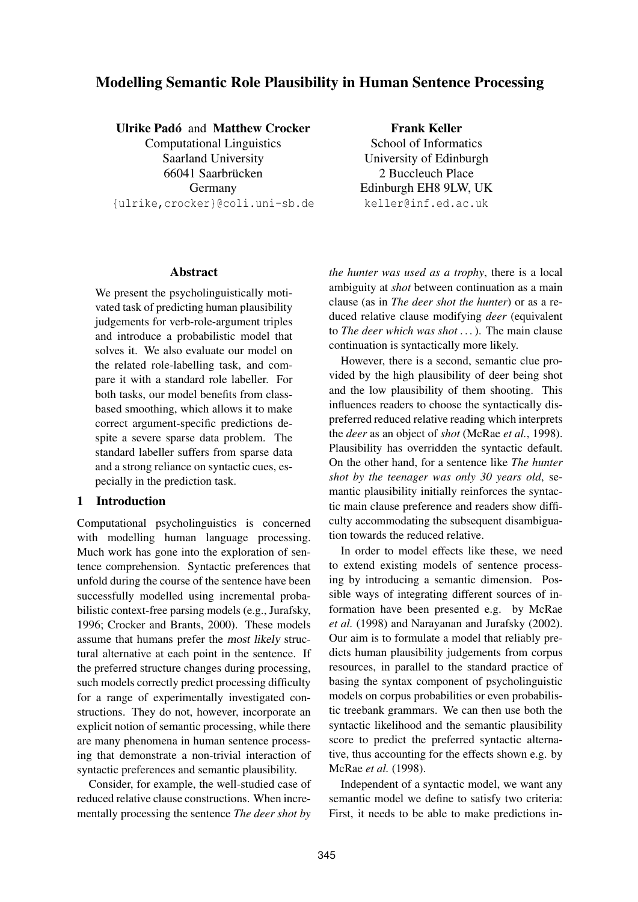# Modelling Semantic Role Plausibility in Human Sentence Processing

### Ulrike Padó and Matthew Crocker

Computational Linguistics Saarland University 66041 Saarbrücken Germany {ulrike,crocker}@coli.uni-sb.de

Frank Keller School of Informatics University of Edinburgh 2 Buccleuch Place Edinburgh EH8 9LW, UK keller@inf.ed.ac.uk

### Abstract

We present the psycholinguistically motivated task of predicting human plausibility judgements for verb-role-argument triples and introduce a probabilistic model that solves it. We also evaluate our model on the related role-labelling task, and compare it with a standard role labeller. For both tasks, our model benefits from classbased smoothing, which allows it to make correct argument-specific predictions despite a severe sparse data problem. The standard labeller suffers from sparse data and a strong reliance on syntactic cues, especially in the prediction task.

### 1 Introduction

Computational psycholinguistics is concerned with modelling human language processing. Much work has gone into the exploration of sentence comprehension. Syntactic preferences that unfold during the course of the sentence have been successfully modelled using incremental probabilistic context-free parsing models (e.g., Jurafsky, 1996; Crocker and Brants, 2000). These models assume that humans prefer the most likely structural alternative at each point in the sentence. If the preferred structure changes during processing, such models correctly predict processing difficulty for a range of experimentally investigated constructions. They do not, however, incorporate an explicit notion of semantic processing, while there are many phenomena in human sentence processing that demonstrate a non-trivial interaction of syntactic preferences and semantic plausibility.

Consider, for example, the well-studied case of reduced relative clause constructions. When incrementally processing the sentence *The deer shot by* *the hunter was used as a trophy*, there is a local ambiguity at *shot* between continuation as a main clause (as in *The deer shot the hunter*) or as a reduced relative clause modifying *deer* (equivalent to *The deer which was shot . . .*). The main clause continuation is syntactically more likely.

However, there is a second, semantic clue provided by the high plausibility of deer being shot and the low plausibility of them shooting. This influences readers to choose the syntactically dispreferred reduced relative reading which interprets the *deer* as an object of *shot* (McRae *et al.*, 1998). Plausibility has overridden the syntactic default. On the other hand, for a sentence like *The hunter shot by the teenager was only 30 years old*, semantic plausibility initially reinforces the syntactic main clause preference and readers show difficulty accommodating the subsequent disambiguation towards the reduced relative.

In order to model effects like these, we need to extend existing models of sentence processing by introducing a semantic dimension. Possible ways of integrating different sources of information have been presented e.g. by McRae *et al.* (1998) and Narayanan and Jurafsky (2002). Our aim is to formulate a model that reliably predicts human plausibility judgements from corpus resources, in parallel to the standard practice of basing the syntax component of psycholinguistic models on corpus probabilities or even probabilistic treebank grammars. We can then use both the syntactic likelihood and the semantic plausibility score to predict the preferred syntactic alternative, thus accounting for the effects shown e.g. by McRae *et al.* (1998).

Independent of a syntactic model, we want any semantic model we define to satisfy two criteria: First, it needs to be able to make predictions in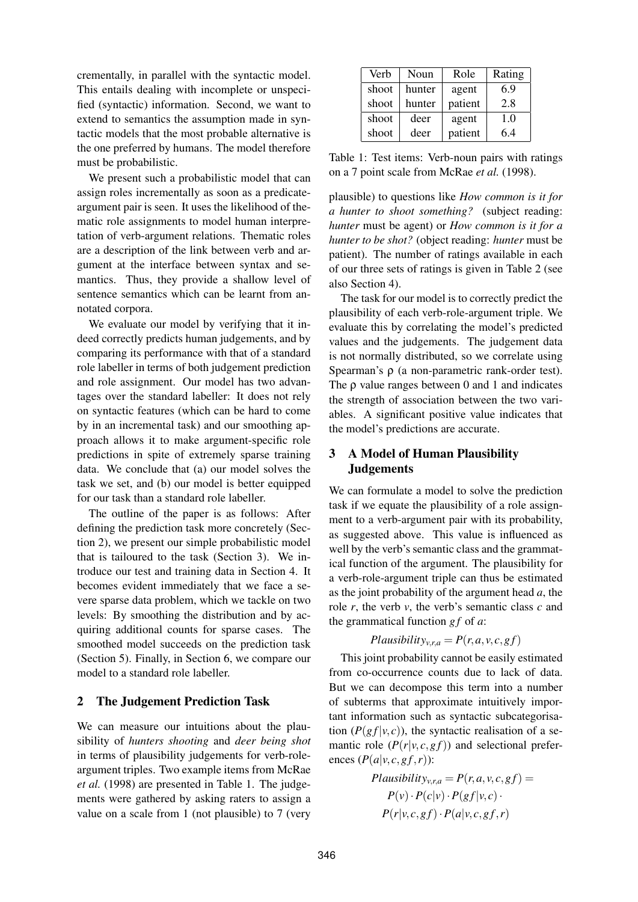crementally, in parallel with the syntactic model. This entails dealing with incomplete or unspecified (syntactic) information. Second, we want to extend to semantics the assumption made in syntactic models that the most probable alternative is the one preferred by humans. The model therefore must be probabilistic.

We present such a probabilistic model that can assign roles incrementally as soon as a predicateargument pair is seen. It uses the likelihood of thematic role assignments to model human interpretation of verb-argument relations. Thematic roles are a description of the link between verb and argument at the interface between syntax and semantics. Thus, they provide a shallow level of sentence semantics which can be learnt from annotated corpora.

We evaluate our model by verifying that it indeed correctly predicts human judgements, and by comparing its performance with that of a standard role labeller in terms of both judgement prediction and role assignment. Our model has two advantages over the standard labeller: It does not rely on syntactic features (which can be hard to come by in an incremental task) and our smoothing approach allows it to make argument-specific role predictions in spite of extremely sparse training data. We conclude that (a) our model solves the task we set, and (b) our model is better equipped for our task than a standard role labeller.

The outline of the paper is as follows: After defining the prediction task more concretely (Section 2), we present our simple probabilistic model that is tailoured to the task (Section 3). We introduce our test and training data in Section 4. It becomes evident immediately that we face a severe sparse data problem, which we tackle on two levels: By smoothing the distribution and by acquiring additional counts for sparse cases. The smoothed model succeeds on the prediction task (Section 5). Finally, in Section 6, we compare our model to a standard role labeller.

#### 2 The Judgement Prediction Task

We can measure our intuitions about the plausibility of *hunters shooting* and *deer being shot* in terms of plausibility judgements for verb-roleargument triples. Two example items from McRae *et al.* (1998) are presented in Table 1. The judgements were gathered by asking raters to assign a value on a scale from 1 (not plausible) to 7 (very

| Verb  | Noun   | Role    | Rating |
|-------|--------|---------|--------|
| shoot | hunter | agent   | 6.9    |
| shoot | hunter | patient | 2.8    |
| shoot | deer   | agent   | 1.0    |
| shoot | deer   | patient | 6.4    |

Table 1: Test items: Verb-noun pairs with ratings on a 7 point scale from McRae *et al.* (1998).

plausible) to questions like *How common is it for a hunter to shoot something?* (subject reading: *hunter* must be agent) or *How common is it for a hunter to be shot?* (object reading: *hunter* must be patient). The number of ratings available in each of our three sets of ratings is given in Table 2 (see also Section 4).

The task for our model is to correctly predict the plausibility of each verb-role-argument triple. We evaluate this by correlating the model's predicted values and the judgements. The judgement data is not normally distributed, so we correlate using Spearman's ρ (a non-parametric rank-order test). The  $\rho$  value ranges between 0 and 1 and indicates the strength of association between the two variables. A significant positive value indicates that the model's predictions are accurate.

# 3 A Model of Human Plausibility Judgements

We can formulate a model to solve the prediction task if we equate the plausibility of a role assignment to a verb-argument pair with its probability, as suggested above. This value is influenced as well by the verb's semantic class and the grammatical function of the argument. The plausibility for a verb-role-argument triple can thus be estimated as the joint probability of the argument head *a*, the role *r*, the verb *v*, the verb's semantic class *c* and the grammatical function *g f* of *a*:

$$
Plausibility_{v,r,a} = P(r,a,v,c,gf)
$$

This joint probability cannot be easily estimated from co-occurrence counts due to lack of data. But we can decompose this term into a number of subterms that approximate intuitively important information such as syntactic subcategorisation  $(P(g f | v, c))$ , the syntactic realisation of a semantic role  $(P(r|v, c, g f))$  and selectional preferences  $(P(a|v, c, gf, r))$ :

*Plausibilityv*,*r*,*<sup>a</sup>* = *P*(*r*,*a*,*v*,*c*,*g f*) = *P*(*v*)·*P*(*c*|*v*)·*P*(*g f* |*v*,*c*)· *P*(*r*|*v*,*c*,*g f*)·*P*(*a*|*v*,*c*,*g f*,*r*)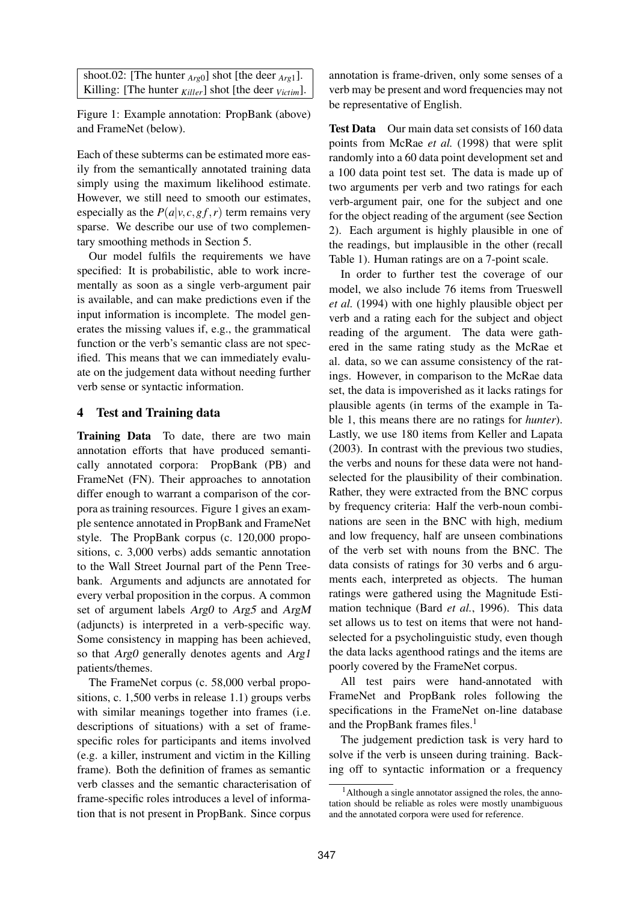shoot.02: [The hunter *Arg*0] shot [the deer *Arg*1]. Killing: [The hunter *Killer*] shot [the deer *Victim*].

Figure 1: Example annotation: PropBank (above) and FrameNet (below).

Each of these subterms can be estimated more easily from the semantically annotated training data simply using the maximum likelihood estimate. However, we still need to smooth our estimates, especially as the  $P(a|v, c, gf, r)$  term remains very sparse. We describe our use of two complementary smoothing methods in Section 5.

Our model fulfils the requirements we have specified: It is probabilistic, able to work incrementally as soon as a single verb-argument pair is available, and can make predictions even if the input information is incomplete. The model generates the missing values if, e.g., the grammatical function or the verb's semantic class are not specified. This means that we can immediately evaluate on the judgement data without needing further verb sense or syntactic information.

# 4 Test and Training data

Training Data To date, there are two main annotation efforts that have produced semantically annotated corpora: PropBank (PB) and FrameNet (FN). Their approaches to annotation differ enough to warrant a comparison of the corpora as training resources. Figure 1 gives an example sentence annotated in PropBank and FrameNet style. The PropBank corpus (c. 120,000 propositions, c. 3,000 verbs) adds semantic annotation to the Wall Street Journal part of the Penn Treebank. Arguments and adjuncts are annotated for every verbal proposition in the corpus. A common set of argument labels Arg0 to Arg5 and ArgM (adjuncts) is interpreted in a verb-specific way. Some consistency in mapping has been achieved, so that Arg0 generally denotes agents and Arg1 patients/themes.

The FrameNet corpus (c. 58,000 verbal propositions, c. 1,500 verbs in release 1.1) groups verbs with similar meanings together into frames (*i.e.*) descriptions of situations) with a set of framespecific roles for participants and items involved (e.g. a killer, instrument and victim in the Killing frame). Both the definition of frames as semantic verb classes and the semantic characterisation of frame-specific roles introduces a level of information that is not present in PropBank. Since corpus

annotation is frame-driven, only some senses of a verb may be present and word frequencies may not be representative of English.

Test Data Our main data set consists of 160 data points from McRae *et al.* (1998) that were split randomly into a 60 data point development set and a 100 data point test set. The data is made up of two arguments per verb and two ratings for each verb-argument pair, one for the subject and one for the object reading of the argument (see Section 2). Each argument is highly plausible in one of the readings, but implausible in the other (recall Table 1). Human ratings are on a 7-point scale.

In order to further test the coverage of our model, we also include 76 items from Trueswell *et al.* (1994) with one highly plausible object per verb and a rating each for the subject and object reading of the argument. The data were gathered in the same rating study as the McRae et al. data, so we can assume consistency of the ratings. However, in comparison to the McRae data set, the data is impoverished as it lacks ratings for plausible agents (in terms of the example in Table 1, this means there are no ratings for *hunter*). Lastly, we use 180 items from Keller and Lapata (2003). In contrast with the previous two studies, the verbs and nouns for these data were not handselected for the plausibility of their combination. Rather, they were extracted from the BNC corpus by frequency criteria: Half the verb-noun combinations are seen in the BNC with high, medium and low frequency, half are unseen combinations of the verb set with nouns from the BNC. The data consists of ratings for 30 verbs and 6 arguments each, interpreted as objects. The human ratings were gathered using the Magnitude Estimation technique (Bard *et al.*, 1996). This data set allows us to test on items that were not handselected for a psycholinguistic study, even though the data lacks agenthood ratings and the items are poorly covered by the FrameNet corpus.

All test pairs were hand-annotated with FrameNet and PropBank roles following the specifications in the FrameNet on-line database and the PropBank frames files.<sup>1</sup>

The judgement prediction task is very hard to solve if the verb is unseen during training. Backing off to syntactic information or a frequency

 $<sup>1</sup>$ Although a single annotator assigned the roles, the anno-</sup> tation should be reliable as roles were mostly unambiguous and the annotated corpora were used for reference.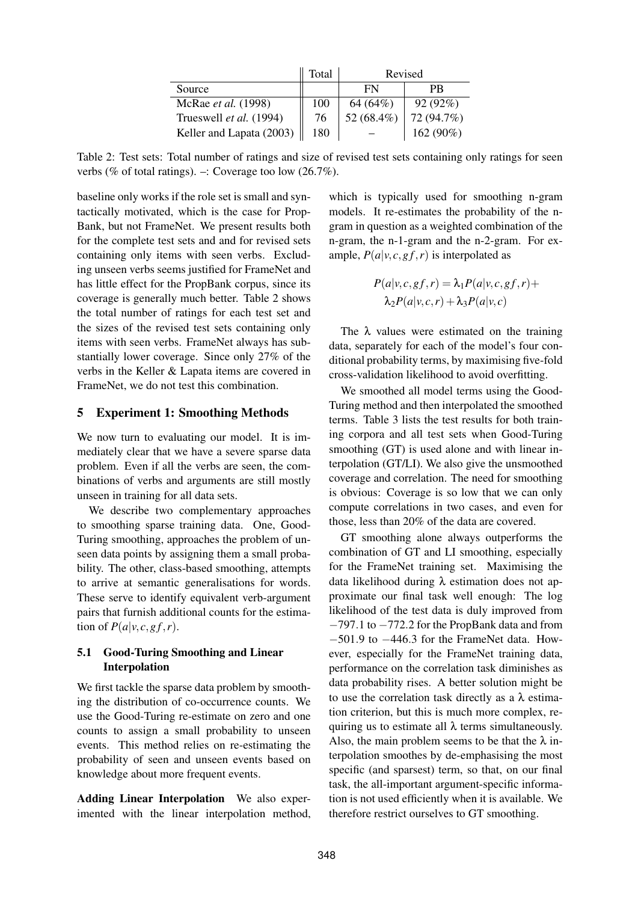|                          | Total | Revised    |            |  |  |
|--------------------------|-------|------------|------------|--|--|
| Source                   |       | FN         | PR         |  |  |
| McRae et al. (1998)      | 100   | 64 (64%)   | 92(92%)    |  |  |
| Trueswell et al. (1994)  | 76    | 52 (68.4%) | 72 (94.7%) |  |  |
| Keller and Lapata (2003) | 180   |            | 162 (90%)  |  |  |

Table 2: Test sets: Total number of ratings and size of revised test sets containing only ratings for seen verbs (% of total ratings). –: Coverage too low  $(26.7\%)$ .

baseline only works if the role set is small and syntactically motivated, which is the case for Prop-Bank, but not FrameNet. We present results both for the complete test sets and and for revised sets containing only items with seen verbs. Excluding unseen verbs seems justified for FrameNet and has little effect for the PropBank corpus, since its coverage is generally much better. Table 2 shows the total number of ratings for each test set and the sizes of the revised test sets containing only items with seen verbs. FrameNet always has substantially lower coverage. Since only 27% of the verbs in the Keller & Lapata items are covered in FrameNet, we do not test this combination.

#### 5 Experiment 1: Smoothing Methods

We now turn to evaluating our model. It is immediately clear that we have a severe sparse data problem. Even if all the verbs are seen, the combinations of verbs and arguments are still mostly unseen in training for all data sets.

We describe two complementary approaches to smoothing sparse training data. One, Good-Turing smoothing, approaches the problem of unseen data points by assigning them a small probability. The other, class-based smoothing, attempts to arrive at semantic generalisations for words. These serve to identify equivalent verb-argument pairs that furnish additional counts for the estimation of  $P(a|v, c, gf, r)$ .

# 5.1 Good-Turing Smoothing and Linear Interpolation

We first tackle the sparse data problem by smoothing the distribution of co-occurrence counts. We use the Good-Turing re-estimate on zero and one counts to assign a small probability to unseen events. This method relies on re-estimating the probability of seen and unseen events based on knowledge about more frequent events.

Adding Linear Interpolation We also experimented with the linear interpolation method,

which is typically used for smoothing n-gram models. It re-estimates the probability of the ngram in question as a weighted combination of the n-gram, the n-1-gram and the n-2-gram. For example,  $P(a|v, c, gf, r)$  is interpolated as

$$
P(a|v, c, gf, r) = \lambda_1 P(a|v, c, gf, r) + \lambda_2 P(a|v, c, r) + \lambda_3 P(a|v, c)
$$

The  $\lambda$  values were estimated on the training data, separately for each of the model's four conditional probability terms, by maximising five-fold cross-validation likelihood to avoid overfitting.

We smoothed all model terms using the Good-Turing method and then interpolated the smoothed terms. Table 3 lists the test results for both training corpora and all test sets when Good-Turing smoothing (GT) is used alone and with linear interpolation (GT/LI). We also give the unsmoothed coverage and correlation. The need for smoothing is obvious: Coverage is so low that we can only compute correlations in two cases, and even for those, less than 20% of the data are covered.

GT smoothing alone always outperforms the combination of GT and LI smoothing, especially for the FrameNet training set. Maximising the data likelihood during λ estimation does not approximate our final task well enough: The log likelihood of the test data is duly improved from −797.1 to −772.2 for the PropBank data and from −501.9 to −446.3 for the FrameNet data. However, especially for the FrameNet training data, performance on the correlation task diminishes as data probability rises. A better solution might be to use the correlation task directly as a  $\lambda$  estimation criterion, but this is much more complex, requiring us to estimate all  $\lambda$  terms simultaneously. Also, the main problem seems to be that the  $\lambda$  interpolation smoothes by de-emphasising the most specific (and sparsest) term, so that, on our final task, the all-important argument-specific information is not used efficiently when it is available. We therefore restrict ourselves to GT smoothing.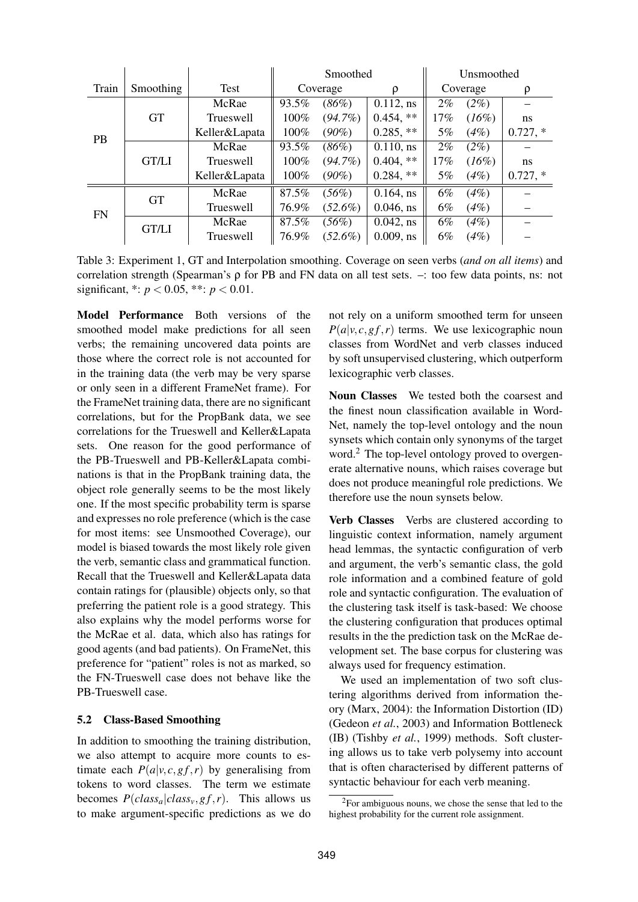|           |              |                  |          | Smoothed   |              | Unsmoothed |         |            |  |
|-----------|--------------|------------------|----------|------------|--------------|------------|---------|------------|--|
| Train     | Smoothing    | Test             | Coverage |            | ρ            | Coverage   |         | ρ          |  |
|           | <b>GT</b>    | McRae            | 93.5%    | (86%)      | $0.112$ , ns | $2\%$      | $(2\%)$ |            |  |
|           |              | <b>Trueswell</b> | 100%     | $(94.7\%)$ | $0.454$ , ** | 17%        | (16%)   | ns         |  |
| <b>PB</b> |              | Keller&Lapata    | 100%     | $(90\%)$   | $0.285$ , ** | 5%         | $(4\%)$ | $0.727,*$  |  |
|           | <b>GT/LI</b> | McRae            | 93.5%    | (86%)      | $0.110$ , ns | $2\%$      | $(2\%)$ |            |  |
|           |              | <b>Trueswell</b> | 100%     | $(94.7\%)$ | $0.404$ , ** | 17%        | (16%)   | ns         |  |
|           |              | Keller&Lapata    | 100%     | $(90\%)$   | $0.284$ , ** | 5%         | (4%)    | $0.727, *$ |  |
| <b>FN</b> | <b>GT</b>    | McRae            | 87.5%    | $(56\%)$   | $0.164$ , ns | $6\%$      | $(4\%)$ |            |  |
|           |              | Trueswell        | 76.9%    | $(52.6\%)$ | $0.046$ , ns | $6\%$      | $(4\%)$ |            |  |
|           | <b>GT/LI</b> | McRae            | 87.5%    | (56%)      | $0.042$ , ns | $6\%$      | $(4\%)$ |            |  |
|           |              | Trueswell        | 76.9%    | $(52.6\%)$ | $0.009$ , ns | $6\%$      | (4%)    |            |  |

Table 3: Experiment 1, GT and Interpolation smoothing. Coverage on seen verbs (*and on all items*) and correlation strength (Spearman's ρ for PB and FN data on all test sets. –: too few data points, ns: not significant, \*:  $p < 0.05$ , \*\*:  $p < 0.01$ .

Model Performance Both versions of the smoothed model make predictions for all seen verbs; the remaining uncovered data points are those where the correct role is not accounted for in the training data (the verb may be very sparse or only seen in a different FrameNet frame). For the FrameNet training data, there are no significant correlations, but for the PropBank data, we see correlations for the Trueswell and Keller&Lapata sets. One reason for the good performance of the PB-Trueswell and PB-Keller&Lapata combinations is that in the PropBank training data, the object role generally seems to be the most likely one. If the most specific probability term is sparse and expresses no role preference (which is the case for most items: see Unsmoothed Coverage), our model is biased towards the most likely role given the verb, semantic class and grammatical function. Recall that the Trueswell and Keller&Lapata data contain ratings for (plausible) objects only, so that preferring the patient role is a good strategy. This also explains why the model performs worse for the McRae et al. data, which also has ratings for good agents (and bad patients). On FrameNet, this preference for "patient" roles is not as marked, so the FN-Trueswell case does not behave like the PB-Trueswell case.

### 5.2 Class-Based Smoothing

In addition to smoothing the training distribution, we also attempt to acquire more counts to estimate each  $P(a|v, c, gf, r)$  by generalising from tokens to word classes. The term we estimate becomes  $P(class_a| class_v, gf, r)$ . This allows us to make argument-specific predictions as we do not rely on a uniform smoothed term for unseen  $P(a|v, c, gf, r)$  terms. We use lexicographic noun classes from WordNet and verb classes induced by soft unsupervised clustering, which outperform lexicographic verb classes.

Noun Classes We tested both the coarsest and the finest noun classification available in Word-Net, namely the top-level ontology and the noun synsets which contain only synonyms of the target word.<sup>2</sup> The top-level ontology proved to overgenerate alternative nouns, which raises coverage but does not produce meaningful role predictions. We therefore use the noun synsets below.

Verb Classes Verbs are clustered according to linguistic context information, namely argument head lemmas, the syntactic configuration of verb and argument, the verb's semantic class, the gold role information and a combined feature of gold role and syntactic configuration. The evaluation of the clustering task itself is task-based: We choose the clustering configuration that produces optimal results in the the prediction task on the McRae development set. The base corpus for clustering was always used for frequency estimation.

We used an implementation of two soft clustering algorithms derived from information theory (Marx, 2004): the Information Distortion (ID) (Gedeon *et al.*, 2003) and Information Bottleneck (IB) (Tishby *et al.*, 1999) methods. Soft clustering allows us to take verb polysemy into account that is often characterised by different patterns of syntactic behaviour for each verb meaning.

 ${}^{2}$ For ambiguous nouns, we chose the sense that led to the highest probability for the current role assignment.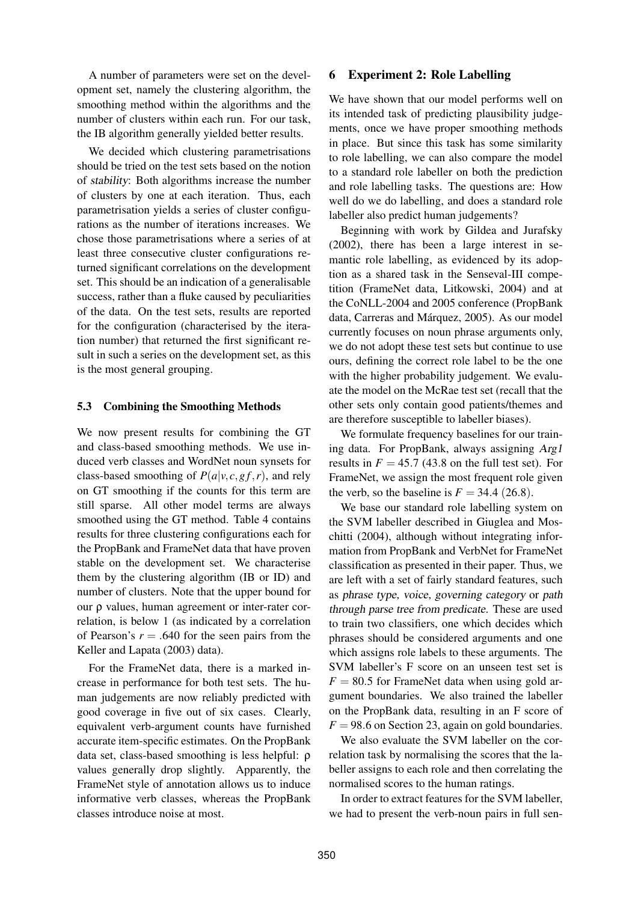A number of parameters were set on the development set, namely the clustering algorithm, the smoothing method within the algorithms and the number of clusters within each run. For our task, the IB algorithm generally yielded better results.

We decided which clustering parametrisations should be tried on the test sets based on the notion of stability: Both algorithms increase the number of clusters by one at each iteration. Thus, each parametrisation yields a series of cluster configurations as the number of iterations increases. We chose those parametrisations where a series of at least three consecutive cluster configurations returned significant correlations on the development set. This should be an indication of a generalisable success, rather than a fluke caused by peculiarities of the data. On the test sets, results are reported for the configuration (characterised by the iteration number) that returned the first significant result in such a series on the development set, as this is the most general grouping.

#### 5.3 Combining the Smoothing Methods

We now present results for combining the GT and class-based smoothing methods. We use induced verb classes and WordNet noun synsets for class-based smoothing of  $P(a|v, c, gf, r)$ , and rely on GT smoothing if the counts for this term are still sparse. All other model terms are always smoothed using the GT method. Table 4 contains results for three clustering configurations each for the PropBank and FrameNet data that have proven stable on the development set. We characterise them by the clustering algorithm (IB or ID) and number of clusters. Note that the upper bound for our ρ values, human agreement or inter-rater correlation, is below 1 (as indicated by a correlation of Pearson's  $r = .640$  for the seen pairs from the Keller and Lapata (2003) data).

For the FrameNet data, there is a marked increase in performance for both test sets. The human judgements are now reliably predicted with good coverage in five out of six cases. Clearly, equivalent verb-argument counts have furnished accurate item-specific estimates. On the PropBank data set, class-based smoothing is less helpful: ρ values generally drop slightly. Apparently, the FrameNet style of annotation allows us to induce informative verb classes, whereas the PropBank classes introduce noise at most.

#### 6 Experiment 2: Role Labelling

We have shown that our model performs well on its intended task of predicting plausibility judgements, once we have proper smoothing methods in place. But since this task has some similarity to role labelling, we can also compare the model to a standard role labeller on both the prediction and role labelling tasks. The questions are: How well do we do labelling, and does a standard role labeller also predict human judgements?

Beginning with work by Gildea and Jurafsky (2002), there has been a large interest in semantic role labelling, as evidenced by its adoption as a shared task in the Senseval-III competition (FrameNet data, Litkowski, 2004) and at the CoNLL-2004 and 2005 conference (PropBank data, Carreras and Márquez, 2005). As our model currently focuses on noun phrase arguments only, we do not adopt these test sets but continue to use ours, defining the correct role label to be the one with the higher probability judgement. We evaluate the model on the McRae test set (recall that the other sets only contain good patients/themes and are therefore susceptible to labeller biases).

We formulate frequency baselines for our training data. For PropBank, always assigning Arg1 results in  $F = 45.7$  (43.8 on the full test set). For FrameNet, we assign the most frequent role given the verb, so the baseline is  $F = 34.4$  (26.8).

We base our standard role labelling system on the SVM labeller described in Giuglea and Moschitti (2004), although without integrating information from PropBank and VerbNet for FrameNet classification as presented in their paper. Thus, we are left with a set of fairly standard features, such as phrase type, voice, governing category or path through parse tree from predicate. These are used to train two classifiers, one which decides which phrases should be considered arguments and one which assigns role labels to these arguments. The SVM labeller's F score on an unseen test set is  $F = 80.5$  for FrameNet data when using gold argument boundaries. We also trained the labeller on the PropBank data, resulting in an F score of  $F = 98.6$  on Section 23, again on gold boundaries.

We also evaluate the SVM labeller on the correlation task by normalising the scores that the labeller assigns to each role and then correlating the normalised scores to the human ratings.

In order to extract features for the SVM labeller, we had to present the verb-noun pairs in full sen-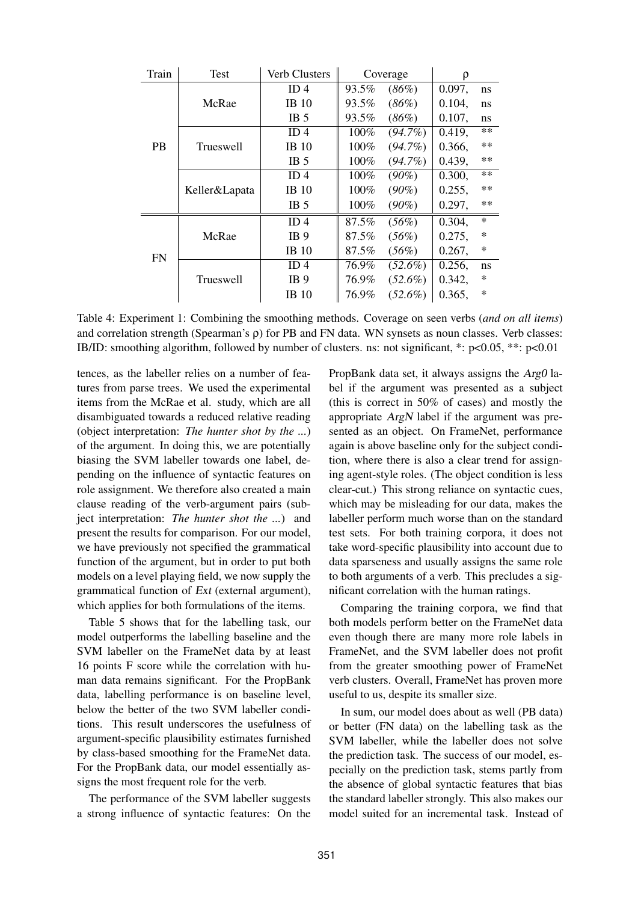| Train     | <b>Test</b>      | Verb Clusters   |       | Coverage   | ρ         |        |
|-----------|------------------|-----------------|-------|------------|-----------|--------|
|           |                  | ID <sub>4</sub> | 93.5% | (86%)      | 0.097,    | ns     |
|           | McRae            | $IB$ 10         | 93.5% | (86%)      | $0.104$ , | ns     |
|           |                  | IB <sub>5</sub> | 93.5% | (86%)      | 0.107,    | ns     |
|           |                  | ID4             | 100%  | $(94.7\%)$ | 0.419,    | $***$  |
| <b>PB</b> | <b>Trueswell</b> | <b>IB</b> 10    | 100%  | $(94.7\%)$ | 0.366,    | $***$  |
|           |                  | IB <sub>5</sub> | 100%  | $(94.7\%)$ | 0.439,    | $***$  |
|           |                  | ID <sub>4</sub> | 100%  | $(90\%)$   | 0.300,    | $**$   |
|           | Keller&Lapata    | <b>IB</b> 10    | 100%  | $(90\%)$   | 0.255,    | $***$  |
|           |                  | IB <sub>5</sub> | 100%  | $(90\%)$   | 0.297,    | $***$  |
| <b>FN</b> |                  | ID <sub>4</sub> | 87.5% | (56%)      | 0.304,    | $\ast$ |
|           | McRae            | IB <sub>9</sub> | 87.5% | $(56\%)$   | 0.275,    | $\ast$ |
|           |                  | <b>IB</b> 10    | 87.5% | $(56\%)$   | 0.267,    | $\ast$ |
|           |                  | ID <sub>4</sub> | 76.9% | $(52.6\%)$ | 0.256,    | ns     |
|           | <b>Trueswell</b> | IB <sub>9</sub> | 76.9% | $(52.6\%)$ | 0.342,    | $\ast$ |
|           |                  | IB 10           | 76.9% | $(52.6\%)$ | 0.365,    | $\ast$ |

Table 4: Experiment 1: Combining the smoothing methods. Coverage on seen verbs (*and on all items*) and correlation strength (Spearman's ρ) for PB and FN data. WN synsets as noun classes. Verb classes: IB/ID: smoothing algorithm, followed by number of clusters. ns: not significant, \*: p<0.05, \*\*: p<0.01

tences, as the labeller relies on a number of features from parse trees. We used the experimental items from the McRae et al. study, which are all disambiguated towards a reduced relative reading (object interpretation: *The hunter shot by the ...*) of the argument. In doing this, we are potentially biasing the SVM labeller towards one label, depending on the influence of syntactic features on role assignment. We therefore also created a main clause reading of the verb-argument pairs (subject interpretation: *The hunter shot the ...*) and present the results for comparison. For our model, we have previously not specified the grammatical function of the argument, but in order to put both models on a level playing field, we now supply the grammatical function of Ext (external argument), which applies for both formulations of the items.

Table 5 shows that for the labelling task, our model outperforms the labelling baseline and the SVM labeller on the FrameNet data by at least 16 points F score while the correlation with human data remains significant. For the PropBank data, labelling performance is on baseline level, below the better of the two SVM labeller conditions. This result underscores the usefulness of argument-specific plausibility estimates furnished by class-based smoothing for the FrameNet data. For the PropBank data, our model essentially assigns the most frequent role for the verb.

The performance of the SVM labeller suggests a strong influence of syntactic features: On the

PropBank data set, it always assigns the Arg0 label if the argument was presented as a subject (this is correct in 50% of cases) and mostly the appropriate ArgN label if the argument was presented as an object. On FrameNet, performance again is above baseline only for the subject condition, where there is also a clear trend for assigning agent-style roles. (The object condition is less clear-cut.) This strong reliance on syntactic cues, which may be misleading for our data, makes the labeller perform much worse than on the standard test sets. For both training corpora, it does not take word-specific plausibility into account due to data sparseness and usually assigns the same role to both arguments of a verb. This precludes a significant correlation with the human ratings.

Comparing the training corpora, we find that both models perform better on the FrameNet data even though there are many more role labels in FrameNet, and the SVM labeller does not profit from the greater smoothing power of FrameNet verb clusters. Overall, FrameNet has proven more useful to us, despite its smaller size.

In sum, our model does about as well (PB data) or better (FN data) on the labelling task as the SVM labeller, while the labeller does not solve the prediction task. The success of our model, especially on the prediction task, stems partly from the absence of global syntactic features that bias the standard labeller strongly. This also makes our model suited for an incremental task. Instead of